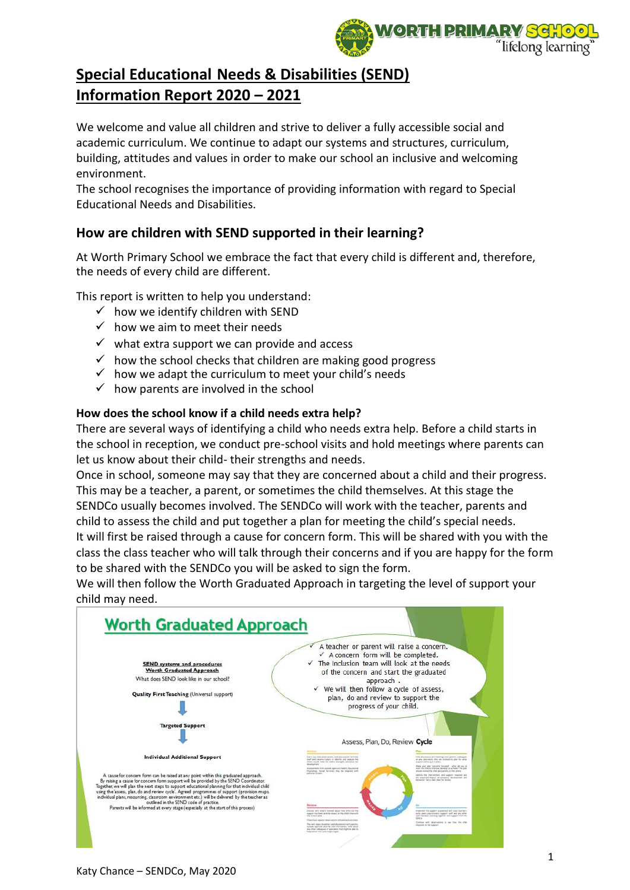

We welcome and value all children and strive to deliver a fully accessible social and academic curriculum. We continue to adapt our systems and structures, curriculum, building, attitudes and values in order to make our school an inclusive and welcoming environment.

The school recognises the importance of providing information with regard to Special Educational Needs and Disabilities.

## **How are children with SEND supported in their learning?**

At Worth Primary School we embrace the fact that every child is different and, therefore, the needs of every child are different.

This report is written to help you understand:

- $\checkmark$  how we identify children with SEND
- $\checkmark$  how we aim to meet their needs
- $\checkmark$  what extra support we can provide and access
- $\checkmark$  how the school checks that children are making good progress
- $\checkmark$  how we adapt the curriculum to meet your child's needs
- $\checkmark$  how parents are involved in the school

#### **How does the school know if a child needs extra help?**

There are several ways of identifying a child who needs extra help. Before a child starts in the school in reception, we conduct pre-school visits and hold meetings where parents can let us know about their child- their strengths and needs.

Once in school, someone may say that they are concerned about a child and their progress. This may be a teacher, a parent, or sometimes the child themselves. At this stage the SENDCo usually becomes involved. The SENDCo will work with the teacher, parents and child to assess the child and put together a plan for meeting the child's special needs. It will first be raised through a cause for concern form. This will be shared with you with the class the class teacher who will talk through their concerns and if you are happy for the form to be shared with the SENDCo you will be asked to sign the form.

We will then follow the Worth Graduated Approach in targeting the level of support your child may need.

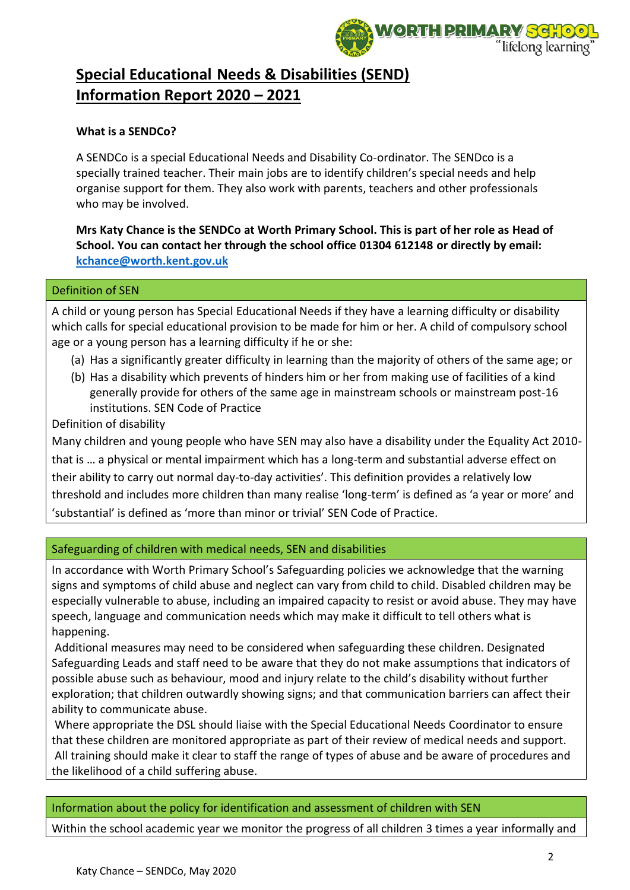

#### **What is a SENDCo?**

A SENDCo is a special Educational Needs and Disability Co-ordinator. The SENDco is a specially trained teacher. Their main jobs are to identify children's special needs and help organise support for them. They also work with parents, teachers and other professionals who may be involved.

**Mrs Katy Chance is the SENDCo at Worth Primary School. This is part of her role as Head of School. You can contact her through the school office 01304 612148 or directly by email: [kchance@worth.kent.gov.uk](mailto:kchance@worth.kent.gov.uk)**

#### Definition of SEN

A child or young person has Special Educational Needs if they have a learning difficulty or disability which calls for special educational provision to be made for him or her. A child of compulsory school age or a young person has a learning difficulty if he or she:

- (a) Has a significantly greater difficulty in learning than the majority of others of the same age; or
- (b) Has a disability which prevents of hinders him or her from making use of facilities of a kind generally provide for others of the same age in mainstream schools or mainstream post-16 institutions. SEN Code of Practice

Definition of disability

Many children and young people who have SEN may also have a disability under the Equality Act 2010 that is … a physical or mental impairment which has a long-term and substantial adverse effect on their ability to carry out normal day-to-day activities'. This definition provides a relatively low threshold and includes more children than many realise 'long-term' is defined as 'a year or more' and 'substantial' is defined as 'more than minor or trivial' SEN Code of Practice.

### Safeguarding of children with medical needs, SEN and disabilities

In accordance with Worth Primary School's Safeguarding policies we acknowledge that the warning signs and symptoms of child abuse and neglect can vary from child to child. Disabled children may be especially vulnerable to abuse, including an impaired capacity to resist or avoid abuse. They may have speech, language and communication needs which may make it difficult to tell others what is happening.

Additional measures may need to be considered when safeguarding these children. Designated Safeguarding Leads and staff need to be aware that they do not make assumptions that indicators of possible abuse such as behaviour, mood and injury relate to the child's disability without further exploration; that children outwardly showing signs; and that communication barriers can affect their ability to communicate abuse.

Where appropriate the DSL should liaise with the Special Educational Needs Coordinator to ensure that these children are monitored appropriate as part of their review of medical needs and support. All training should make it clear to staff the range of types of abuse and be aware of procedures and the likelihood of a child suffering abuse.

#### Information about the policy for identification and assessment of children with SEN

Within the school academic year we monitor the progress of all children 3 times a year informally and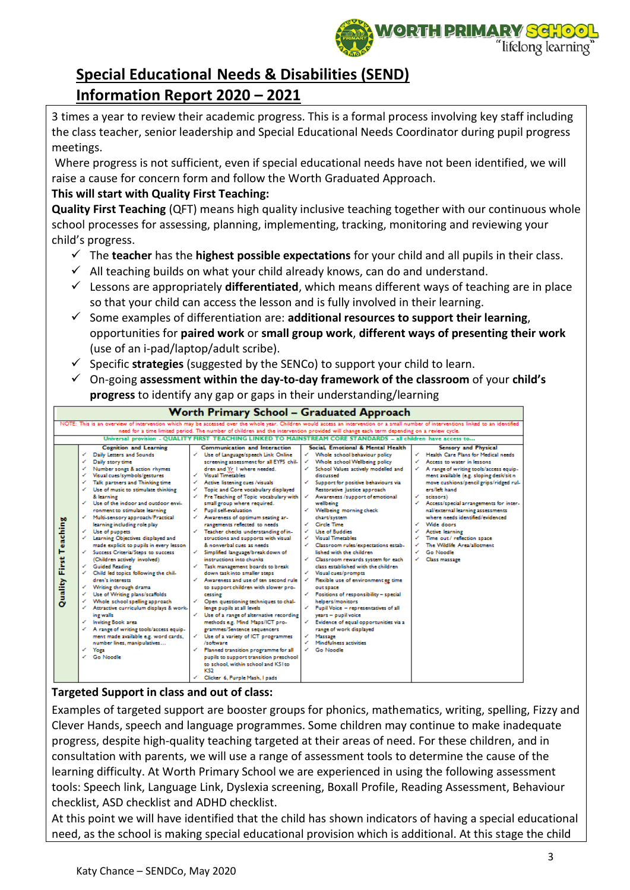

3 times a year to review their academic progress. This is a formal process involving key staff including the class teacher, senior leadership and Special Educational Needs Coordinator during pupil progress meetings.

Where progress is not sufficient, even if special educational needs have not been identified, we will raise a cause for concern form and follow the Worth Graduated Approach.

### **This will start with Quality First Teaching:**

**Quality First Teaching** (QFT) means high quality inclusive teaching together with our continuous whole school processes for assessing, planning, implementing, tracking, monitoring and reviewing your child's progress.

- ✓ The **teacher** has the **highest possible expectations** for your child and all pupils in their class.
- $\checkmark$  All teaching builds on what your child already knows, can do and understand.
- ✓ Lessons are appropriately **differentiated**, which means different ways of teaching are in place so that your child can access the lesson and is fully involved in their learning.
- ✓ Some examples of differentiation are: **additional resources to support their learning**, opportunities for **paired work** or **small group work**, **different ways of presenting their work** (use of an i-pad/laptop/adult scribe).
- ✓ Specific **strategies** (suggested by the SENCo) to support your child to learn.
- ✓ On-going **assessment within the day-to-day framework of the classroom** of your **child's progress** to identify any gap or gaps in their understanding/learning



## **Targeted Support in class and out of class:**

Examples of targeted support are booster groups for phonics, mathematics, writing, spelling, Fizzy and Clever Hands, speech and language programmes. Some children may continue to make inadequate progress, despite high-quality teaching targeted at their areas of need. For these children, and in consultation with parents, we will use a range of assessment tools to determine the cause of the learning difficulty. At Worth Primary School we are experienced in using the following assessment tools: Speech link, Language Link, Dyslexia screening, Boxall Profile, Reading Assessment, Behaviour checklist, ASD checklist and ADHD checklist.

At this point we will have identified that the child has shown indicators of having a special educational need, as the school is making special educational provision which is additional. At this stage the child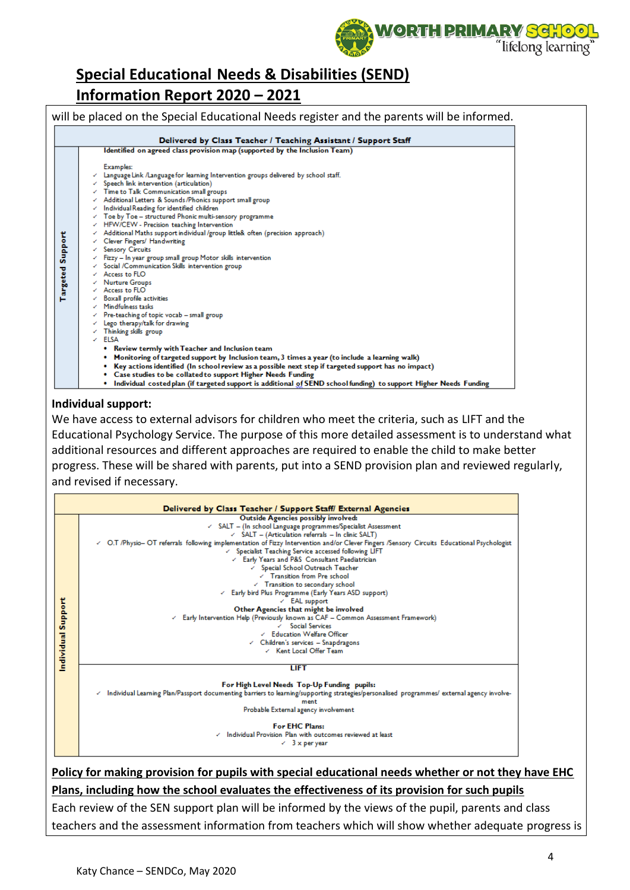

| Delivered by Class Teacher / Teaching Assistant / Support Staff                                                                                                                                                                                                                                                                                                                                                                                                                                                                                                                                                                                                                                                                                                                                                                                                                                                                                                                                                                                                                                                                                                                                                                                                                                                                                                                                                                              |
|----------------------------------------------------------------------------------------------------------------------------------------------------------------------------------------------------------------------------------------------------------------------------------------------------------------------------------------------------------------------------------------------------------------------------------------------------------------------------------------------------------------------------------------------------------------------------------------------------------------------------------------------------------------------------------------------------------------------------------------------------------------------------------------------------------------------------------------------------------------------------------------------------------------------------------------------------------------------------------------------------------------------------------------------------------------------------------------------------------------------------------------------------------------------------------------------------------------------------------------------------------------------------------------------------------------------------------------------------------------------------------------------------------------------------------------------|
| Identified on agreed class provision map (supported by the Inclusion Team)                                                                                                                                                                                                                                                                                                                                                                                                                                                                                                                                                                                                                                                                                                                                                                                                                                                                                                                                                                                                                                                                                                                                                                                                                                                                                                                                                                   |
| Examples:<br>Language Link /Language for learning Intervention groups delivered by school staff.<br>$\angle$ Speech link intervention (articulation)<br>$\angle$ Time to Talk Communication small groups<br>← Additional Letters & Sounds/Phonics support small group<br>$\angle$ Individual Reading for identified children<br>Toe by Toe - structured Phonic multi-sensory programme<br>√ HFW/CEW - Precision teaching Intervention<br>Additional Maths support individual /group little& often (precision approach)<br>← Clever Fingers/ Handwriting<br>← Sensory Circuits<br>Fizzy - In year group small group Motor skills intervention<br>← Social /Communication Skills intervention group<br>$\angle$ Access to FLO<br>← Nurture Groups<br>$\angle$ Access to FLO<br><b>Boxall profile activities</b><br>Mindfulness tasks<br>$\angle$ Pre-teaching of topic vocab - small group<br>$\angle$ Lego therapy/talk for drawing<br>$\checkmark$ Thinking skills group<br>$\angle$ ELSA<br>• Review termly with Teacher and Inclusion team<br>Monitoring of targeted support by Inclusion team, 3 times a year (to include a learning walk)<br>Key actions identified (In school review as a possible next step if targeted support has no impact)<br>• Case studies to be collated to support Higher Needs Funding<br>. Individual costed plan (if targeted support is additional of SEND school funding) to support Higher Needs Funding |

#### **Individual support:**

We have access to external advisors for children who meet the criteria, such as LIFT and the Educational Psychology Service. The purpose of this more detailed assessment is to understand what additional resources and different approaches are required to enable the child to make better progress. These will be shared with parents, put into a SEND provision plan and reviewed regularly, and revised if necessary.

|                   | Delivered by Class Teacher / Support Staff/ External Agencies                                                                               |
|-------------------|---------------------------------------------------------------------------------------------------------------------------------------------|
|                   | Outside Agencies possibly involved:                                                                                                         |
|                   | ← SALT - (In school Language programmes/Specialist Assessment                                                                               |
|                   | $\angle$ SALT - (Articulation referrals - In clinic SALT)                                                                                   |
|                   | √ O.T /Physio– OT referrals following implementation of Fizzy Intervention and/or Clever Fingers /Sensory Circuits Educational Psychologist |
|                   | ← Specialist Teaching Service accessed following LIFT                                                                                       |
|                   | Early Years and P&S Consultant Paediatrician                                                                                                |
|                   | √ Special School Outreach Teacher                                                                                                           |
|                   | $\angle$ Transition from Pre-school                                                                                                         |
|                   | Transition to secondary school                                                                                                              |
|                   | Early bird Plus Programme (Early Years ASD support)                                                                                         |
|                   | $\angle$ EAL support                                                                                                                        |
|                   | Other Agencies that might be involved                                                                                                       |
|                   | Early Intervention Help (Previously known as CAF - Common Assessment Framework)                                                             |
|                   | $\angle$ Social Services                                                                                                                    |
|                   | ∠ Education Welfare Officer                                                                                                                 |
|                   | $\angle$ Children's services $-$ Snapdragons                                                                                                |
|                   | √ Kent Local Offer Team                                                                                                                     |
| ndividual Support |                                                                                                                                             |
|                   | <b>LIFT</b>                                                                                                                                 |
|                   | For High Level Needs Top-Up Funding pupils:                                                                                                 |
|                   | Individual Learning Plan/Passport documenting barriers to learning/supporting strategies/personalised programmes/external agency involve-   |
|                   | ment                                                                                                                                        |
|                   | Probable External agency involvement                                                                                                        |
|                   | For EHC Plans:                                                                                                                              |
|                   | $\checkmark$ Individual Provision Plan with outcomes reviewed at least                                                                      |
|                   | $\angle$ 3 x per year                                                                                                                       |

**Policy for making provision for pupils with special educational needs whether or not they have EHC Plans, including how the school evaluates the effectiveness of its provision for such pupils**

Each review of the SEN support plan will be informed by the views of the pupil, parents and class teachers and the assessment information from teachers which will show whether adequate progress is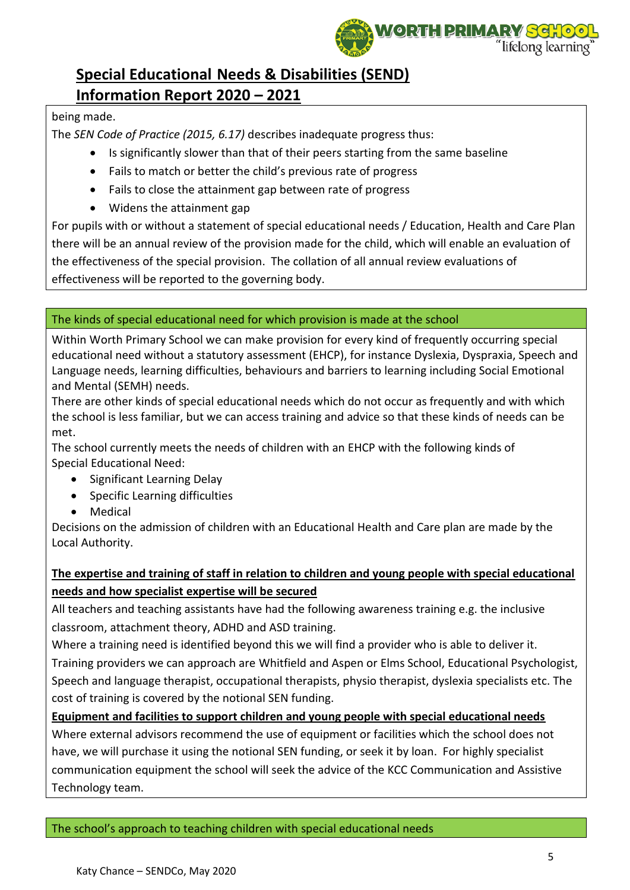

### being made.

The *SEN Code of Practice (2015, 6.17)* describes inadequate progress thus:

- Is significantly slower than that of their peers starting from the same baseline
- Fails to match or better the child's previous rate of progress
- Fails to close the attainment gap between rate of progress
- Widens the attainment gap

For pupils with or without a statement of special educational needs / Education, Health and Care Plan there will be an annual review of the provision made for the child, which will enable an evaluation of the effectiveness of the special provision. The collation of all annual review evaluations of effectiveness will be reported to the governing body.

### The kinds of special educational need for which provision is made at the school

Within Worth Primary School we can make provision for every kind of frequently occurring special educational need without a statutory assessment (EHCP), for instance Dyslexia, Dyspraxia, Speech and Language needs, learning difficulties, behaviours and barriers to learning including Social Emotional and Mental (SEMH) needs.

There are other kinds of special educational needs which do not occur as frequently and with which the school is less familiar, but we can access training and advice so that these kinds of needs can be met.

The school currently meets the needs of children with an EHCP with the following kinds of Special Educational Need:

- Significant Learning Delay
- Specific Learning difficulties
- Medical

Decisions on the admission of children with an Educational Health and Care plan are made by the Local Authority.

## **The expertise and training of staff in relation to children and young people with special educational needs and how specialist expertise will be secured**

All teachers and teaching assistants have had the following awareness training e.g. the inclusive classroom, attachment theory, ADHD and ASD training.

Where a training need is identified beyond this we will find a provider who is able to deliver it. Training providers we can approach are Whitfield and Aspen or Elms School, Educational Psychologist, Speech and language therapist, occupational therapists, physio therapist, dyslexia specialists etc. The cost of training is covered by the notional SEN funding.

**Equipment and facilities to support children and young people with special educational needs**  Where external advisors recommend the use of equipment or facilities which the school does not have, we will purchase it using the notional SEN funding, or seek it by loan. For highly specialist communication equipment the school will seek the advice of the KCC Communication and Assistive Technology team.

The school's approach to teaching children with special educational needs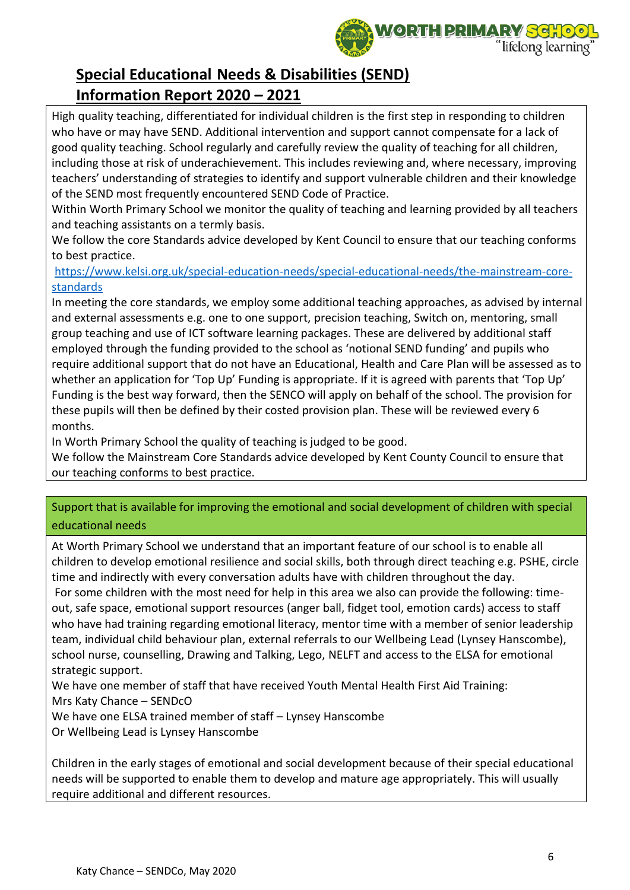

High quality teaching, differentiated for individual children is the first step in responding to children who have or may have SEND. Additional intervention and support cannot compensate for a lack of good quality teaching. School regularly and carefully review the quality of teaching for all children, including those at risk of underachievement. This includes reviewing and, where necessary, improving teachers' understanding of strategies to identify and support vulnerable children and their knowledge of the SEND most frequently encountered SEND Code of Practice.

Within Worth Primary School we monitor the quality of teaching and learning provided by all teachers and teaching assistants on a termly basis.

We follow the core Standards advice developed by Kent Council to ensure that our teaching conforms to best practice.

[https://www.kelsi.org.uk/special-education-needs/special-educational-needs/the-mainstream-core](https://www.kelsi.org.uk/special-education-needs/special-educational-needs/the-mainstream-core-standards)[standards](https://www.kelsi.org.uk/special-education-needs/special-educational-needs/the-mainstream-core-standards)

In meeting the core standards, we employ some additional teaching approaches, as advised by internal and external assessments e.g. one to one support, precision teaching, Switch on, mentoring, small group teaching and use of ICT software learning packages. These are delivered by additional staff employed through the funding provided to the school as 'notional SEND funding' and pupils who require additional support that do not have an Educational, Health and Care Plan will be assessed as to whether an application for 'Top Up' Funding is appropriate. If it is agreed with parents that 'Top Up' Funding is the best way forward, then the SENCO will apply on behalf of the school. The provision for these pupils will then be defined by their costed provision plan. These will be reviewed every 6 months.

In Worth Primary School the quality of teaching is judged to be good.

We follow the Mainstream Core Standards advice developed by Kent County Council to ensure that our teaching conforms to best practice.

### Support that is available for improving the emotional and social development of children with special educational needs

At Worth Primary School we understand that an important feature of our school is to enable all children to develop emotional resilience and social skills, both through direct teaching e.g. PSHE, circle time and indirectly with every conversation adults have with children throughout the day.

For some children with the most need for help in this area we also can provide the following: timeout, safe space, emotional support resources (anger ball, fidget tool, emotion cards) access to staff who have had training regarding emotional literacy, mentor time with a member of senior leadership team, individual child behaviour plan, external referrals to our Wellbeing Lead (Lynsey Hanscombe), school nurse, counselling, Drawing and Talking, Lego, NELFT and access to the ELSA for emotional strategic support.

We have one member of staff that have received Youth Mental Health First Aid Training:

Mrs Katy Chance – SENDcO

We have one ELSA trained member of staff – Lynsey Hanscombe

Or Wellbeing Lead is Lynsey Hanscombe

Children in the early stages of emotional and social development because of their special educational needs will be supported to enable them to develop and mature age appropriately. This will usually require additional and different resources.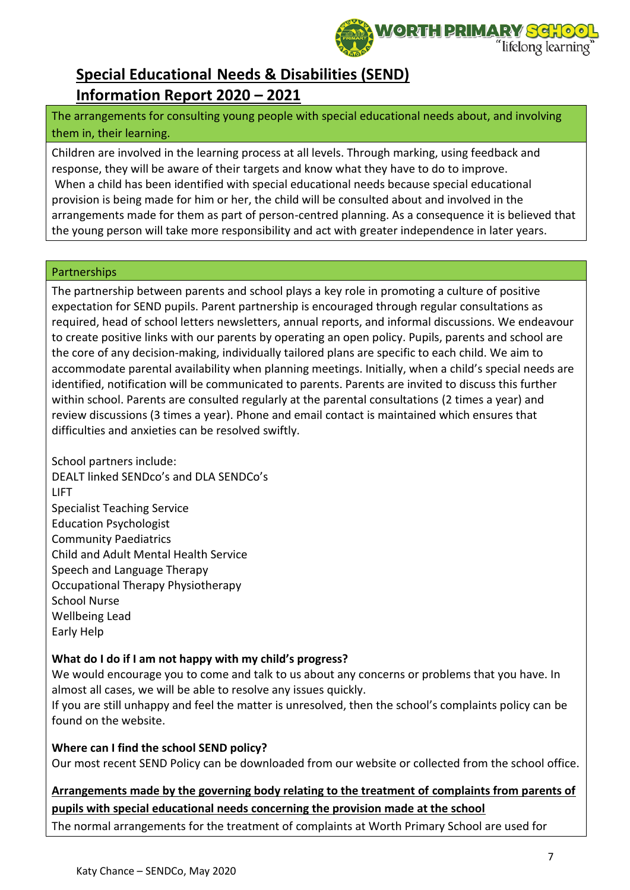

The arrangements for consulting young people with special educational needs about, and involving them in, their learning.

Children are involved in the learning process at all levels. Through marking, using feedback and response, they will be aware of their targets and know what they have to do to improve. When a child has been identified with special educational needs because special educational provision is being made for him or her, the child will be consulted about and involved in the arrangements made for them as part of person-centred planning. As a consequence it is believed that the young person will take more responsibility and act with greater independence in later years.

#### Partnerships

The partnership between parents and school plays a key role in promoting a culture of positive expectation for SEND pupils. Parent partnership is encouraged through regular consultations as required, head of school letters newsletters, annual reports, and informal discussions. We endeavour to create positive links with our parents by operating an open policy. Pupils, parents and school are the core of any decision-making, individually tailored plans are specific to each child. We aim to accommodate parental availability when planning meetings. Initially, when a child's special needs are identified, notification will be communicated to parents. Parents are invited to discuss this further within school. Parents are consulted regularly at the parental consultations (2 times a year) and review discussions (3 times a year). Phone and email contact is maintained which ensures that difficulties and anxieties can be resolved swiftly.

School partners include: DEALT linked SENDco's and DLA SENDCo's LIFT Specialist Teaching Service Education Psychologist Community Paediatrics Child and Adult Mental Health Service Speech and Language Therapy Occupational Therapy Physiotherapy School Nurse Wellbeing Lead Early Help

### **What do I do if I am not happy with my child's progress?**

We would encourage you to come and talk to us about any concerns or problems that you have. In almost all cases, we will be able to resolve any issues quickly.

If you are still unhappy and feel the matter is unresolved, then the school's complaints policy can be found on the website.

### **Where can I find the school SEND policy?**

Our most recent SEND Policy can be downloaded from our website or collected from the school office.

## **Arrangements made by the governing body relating to the treatment of complaints from parents of pupils with special educational needs concerning the provision made at the school**

The normal arrangements for the treatment of complaints at Worth Primary School are used for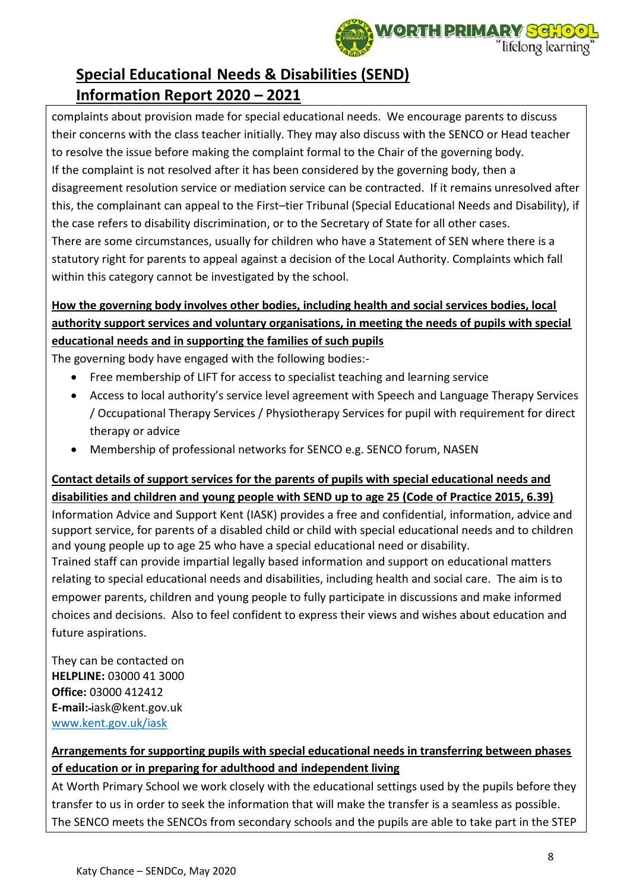

complaints about provision made for special educational needs. We encourage parents to discuss their concerns with the class teacher initially. They may also discuss with the SENCO or Head teacher to resolve the issue before making the complaint formal to the Chair of the governing body. If the complaint is not resolved after it has been considered by the governing body, then a disagreement resolution service or mediation service can be contracted. If it remains unresolved after this, the complainant can appeal to the First–tier Tribunal (Special Educational Needs and Disability), if the case refers to disability discrimination, or to the Secretary of State for all other cases. There are some circumstances, usually for children who have a Statement of SEN where there is a statutory right for parents to appeal against a decision of the Local Authority. Complaints which fall within this category cannot be investigated by the school.

## **How the governing body involves other bodies, including health and social services bodies, local authority support services and voluntary organisations, in meeting the needs of pupils with special educational needs and in supporting the families of such pupils**

The governing body have engaged with the following bodies:-

- Free membership of LIFT for access to specialist teaching and learning service
- Access to local authority's service level agreement with Speech and Language Therapy Services / Occupational Therapy Services / Physiotherapy Services for pupil with requirement for direct therapy or advice
- Membership of professional networks for SENCO e.g. SENCO forum, NASEN

## **Contact details of support services for the parents of pupils with special educational needs and disabilities and children and young people with SEND up to age 25 (Code of Practice 2015, 6.39)**

Information Advice and Support Kent (IASK) provides a free and confidential, information, advice and support service, for parents of a disabled child or child with special educational needs and to children and young people up to age 25 who have a special educational need or disability.

Trained staff can provide impartial legally based information and support on educational matters relating to special educational needs and disabilities, including health and social care. The aim is to empower parents, children and young people to fully participate in discussions and make informed choices and decisions. Also to feel confident to express their views and wishes about education and future aspirations.

They can be contacted on **HELPLINE:** 03000 41 3000 **Office:** 03000 412412 **E-mail:** iask@kent.gov.uk [www.kent.gov.uk/iask](http://www.kent.gov.uk/iask)

## **Arrangements for supporting pupils with special educational needs in transferring between phases of education or in preparing for adulthood and independent living**

At Worth Primary School we work closely with the educational settings used by the pupils before they transfer to us in order to seek the information that will make the transfer is a seamless as possible. The SENCO meets the SENCOs from secondary schools and the pupils are able to take part in the STEP